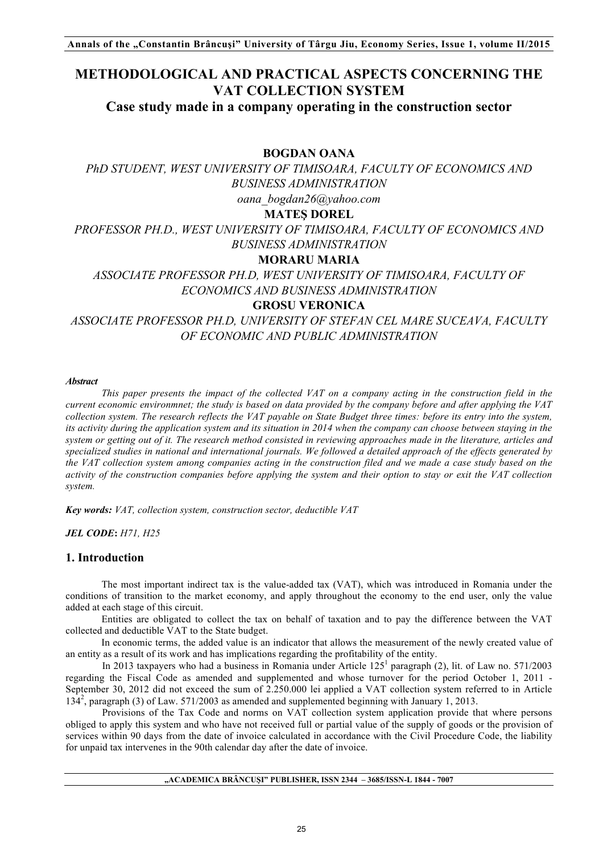# **METHODOLOGICAL AND PRACTICAL ASPECTS CONCERNING THE VAT COLLECTION SYSTEM**

**Case study made in a company operating in the construction sector**

# **BOGDAN OANA**

*PhD STUDENT, WEST UNIVERSITY OF TIMISOARA, FACULTY OF ECONOMICS AND BUSINESS ADMINISTRATION oana\_bogdan26@yahoo.com*

# **MATEŞ DOREL**

*PROFESSOR PH.D., WEST UNIVERSITY OF TIMISOARA, FACULTY OF ECONOMICS AND BUSINESS ADMINISTRATION*

# **MORARU MARIA**

*ASSOCIATE PROFESSOR PH.D, WEST UNIVERSITY OF TIMISOARA, FACULTY OF ECONOMICS AND BUSINESS ADMINISTRATION*

# **GROSU VERONICA**

*ASSOCIATE PROFESSOR PH.D, UNIVERSITY OF STEFAN CEL MARE SUCEAVA, FACULTY OF ECONOMIC AND PUBLIC ADMINISTRATION*

#### *Abstract*

*This paper presents the impact of the collected VAT on a company acting in the construction field in the current economic environmnet; the study is based on data provided by the company before and after applying the VAT collection system. The research reflects the VAT payable on State Budget three times: before its entry into the system, its activity during the application system and its situation in 2014 when the company can choose between staying in the system or getting out of it. The research method consisted in reviewing approaches made in the literature, articles and specialized studies in national and international journals. We followed a detailed approach of the effects generated by the VAT collection system among companies acting in the construction filed and we made a case study based on the activity of the construction companies before applying the system and their option to stay or exit the VAT collection system.*

*Key words: VAT, collection system, construction sector, deductible VAT*

*JEL CODE***:** *H71, H25*

# **1. Introduction**

The most important indirect tax is the value-added tax (VAT), which was introduced in Romania under the conditions of transition to the market economy, and apply throughout the economy to the end user, only the value added at each stage of this circuit.

Entities are obligated to collect the tax on behalf of taxation and to pay the difference between the VAT collected and deductible VAT to the State budget.

In economic terms, the added value is an indicator that allows the measurement of the newly created value of an entity as a result of its work and has implications regarding the profitability of the entity.

In 2013 taxpayers who had a business in Romania under Article  $125^1$  paragraph (2), lit. of Law no. 571/2003 regarding the Fiscal Code as amended and supplemented and whose turnover for the period October 1, 2011 - September 30, 2012 did not exceed the sum of 2.250.000 lei applied a VAT collection system referred to in Article 134<sup>2</sup> , paragraph (3) of Law. 571/2003 as amended and supplemented beginning with January 1, 2013.

Provisions of the Tax Code and norms on VAT collection system application provide that where persons obliged to apply this system and who have not received full or partial value of the supply of goods or the provision of services within 90 days from the date of invoice calculated in accordance with the Civil Procedure Code, the liability for unpaid tax intervenes in the 90th calendar day after the date of invoice.

#### **"ACADEMICA BRÂNCUŞI" PUBLISHER, ISSN 2344 – 3685/ISSN-L 1844 - 7007**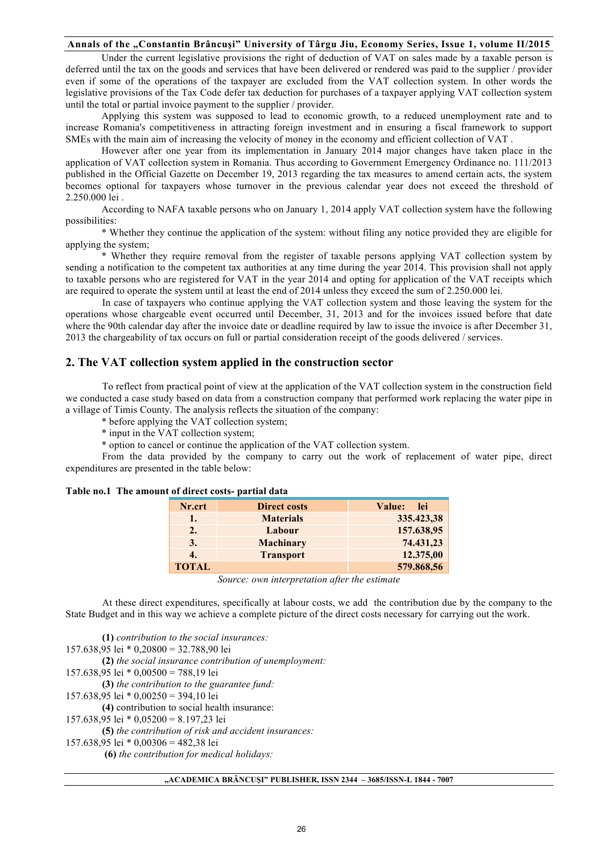Under the current legislative provisions the right of deduction of VAT on sales made by a taxable person is deferred until the tax on the goods and services that have been delivered or rendered was paid to the supplier / provider even if some of the operations of the taxpayer are excluded from the VAT collection system. In other words the legislative provisions of the Tax Code defer tax deduction for purchases of a taxpayer applying VAT collection system until the total or partial invoice payment to the supplier / provider.

Applying this system was supposed to lead to economic growth, to a reduced unemployment rate and to increase Romania's competitiveness in attracting foreign investment and in ensuring a fiscal framework to support SMEs with the main aim of increasing the velocity of money in the economy and efficient collection of VAT .

However after one year from its implementation in January 2014 major changes have taken place in the application of VAT collection system in Romania. Thus according to Government Emergency Ordinance no. 111/2013 published in the Official Gazette on December 19, 2013 regarding the tax measures to amend certain acts, the system becomes optional for taxpayers whose turnover in the previous calendar year does not exceed the threshold of 2.250.000 lei .

According to NAFA taxable persons who on January 1, 2014 apply VAT collection system have the following possibilities:

\* Whether they continue the application of the system: without filing any notice provided they are eligible for applying the system;

\* Whether they require removal from the register of taxable persons applying VAT collection system by sending a notification to the competent tax authorities at any time during the year 2014. This provision shall not apply to taxable persons who are registered for VAT in the year 2014 and opting for application of the VAT receipts which are required to operate the system until at least the end of 2014 unless they exceed the sum of 2.250.000 lei.

In case of taxpayers who continue applying the VAT collection system and those leaving the system for the operations whose chargeable event occurred until December, 31, 2013 and for the invoices issued before that date where the 90th calendar day after the invoice date or deadline required by law to issue the invoice is after December 31, 2013 the chargeability of tax occurs on full or partial consideration receipt of the goods delivered / services.

### **2. The VAT collection system applied in the construction sector**

To reflect from practical point of view at the application of the VAT collection system in the construction field we conducted a case study based on data from a construction company that performed work replacing the water pipe in a village of Timis County. The analysis reflects the situation of the company:

\* before applying the VAT collection system;

\* input in the VAT collection system;

\* option to cancel or continue the application of the VAT collection system.

From the data provided by the company to carry out the work of replacement of water pipe, direct expenditures are presented in the table below:

|        | nount of un eet costs- partial uata |               |
|--------|-------------------------------------|---------------|
| Nr.crt | <b>Direct costs</b>                 | Value:<br>lei |
| ı.     | <b>Materials</b>                    | 335.423,38    |
| 2.     | Labour                              | 157.638,95    |
| 3.     | <b>Machinary</b>                    | 74.431,23     |
|        | <b>Transport</b>                    | 12.375,00     |

# **Table no.1 The amount of direct costs- partial data**

**TOTAL 579.868,56** *Source: own interpretation after the estimate* 

At these direct expenditures, specifically at labour costs, we add the contribution due by the company to the State Budget and in this way we achieve a complete picture of the direct costs necessary for carrying out the work.

**(1)** *contribution to the social insurances:* 157.638,95 lei \* 0,20800 = 32.788,90 lei **(2)** *the social insurance contribution of unemployment:* 157.638,95 lei \* 0,00500 = 788,19 lei **(3)** *the contribution to the guarantee fund:* 157.638,95 lei \* 0,00250 = 394,10 lei **(4)** contribution to social health insurance: 157.638,95 lei \* 0,05200 = 8.197,23 lei **(5)** *the contribution of risk and accident insurances:* 157.638,95 lei \* 0,00306 = 482,38 lei **(6)** *the contribution for medical holidays:*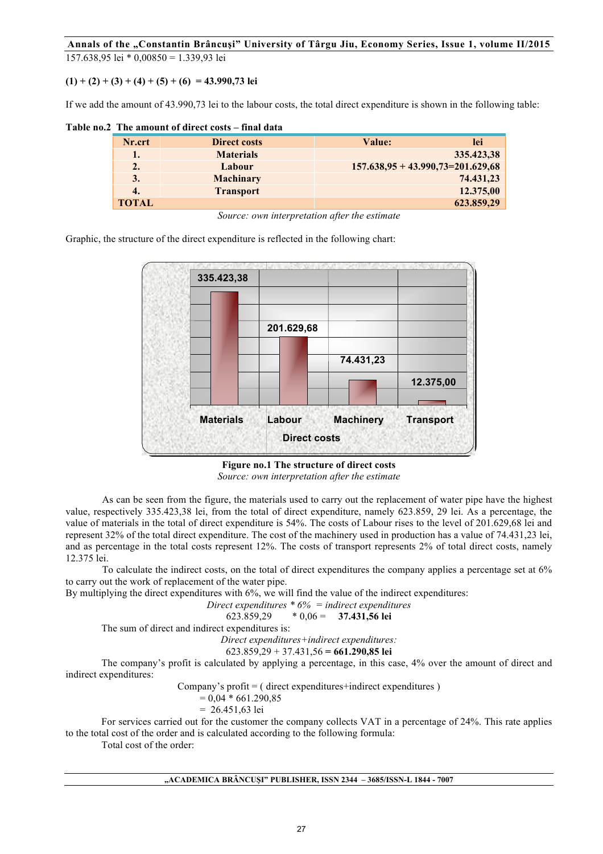157.638,95 lei \* 0,00850 = 1.339,93 lei

 $(1) + (2) + (3) + (4) + (5) + (6) = 43.990,73$  lei

If we add the amount of 43.990,73 lei to the labour costs, the total direct expenditure is shown in the following table:

**Table no.2 The amount of direct costs – final data** 

| Nr.crt       | <b>Direct costs</b> | <b>Value:</b>                         | lei        |
|--------------|---------------------|---------------------------------------|------------|
| 1.           | <b>Materials</b>    |                                       | 335.423,38 |
| 2.           | Labour              | $157.638,95 + 43.990,73 = 201.629,68$ |            |
| 3.           | <b>Machinary</b>    |                                       | 74.431,23  |
| 4.           | <b>Transport</b>    |                                       | 12.375,00  |
| <b>TOTAL</b> |                     |                                       | 623.859,29 |

*Source: own interpretation after the estimate* 

Graphic, the structure of the direct expenditure is reflected in the following chart:



**Figure no.1 The structure of direct costs**

*Source: own interpretation after the estimate* 

As can be seen from the figure, the materials used to carry out the replacement of water pipe have the highest value, respectively 335.423,38 lei, from the total of direct expenditure, namely 623.859, 29 lei. As a percentage, the value of materials in the total of direct expenditure is 54%. The costs of Labour rises to the level of 201.629,68 lei and represent 32% of the total direct expenditure. The cost of the machinery used in production has a value of 74.431,23 lei, and as percentage in the total costs represent 12%. The costs of transport represents 2% of total direct costs, namely 12.375 lei.

To calculate the indirect costs, on the total of direct expenditures the company applies a percentage set at 6% to carry out the work of replacement of the water pipe.

By multiplying the direct expenditures with 6%, we will find the value of the indirect expenditures:

*Direct expenditures* \* 
$$
6\%
$$
 = *indirect expenditures* 623.859.29 \* 0.06 = **37.431.56 lei**

$$
623.859.29 \qquad *0.06 = \qquad 37.431
$$

The sum of direct and indirect expenditures is:

*Direct expenditures+indirect expenditures:*

623.859,29 + 37.431,56 **= 661.290,85 lei**

The company's profit is calculated by applying a percentage, in this case, 4% over the amount of direct and indirect expenditures:

Company's profit  $=$  ( direct expenditures+indirect expenditures )

$$
= 0.04 * 661.290,85
$$

$$
= 26.451,63 \text{ lei}
$$

For services carried out for the customer the company collects VAT in a percentage of 24%. This rate applies to the total cost of the order and is calculated according to the following formula:

Total cost of the order: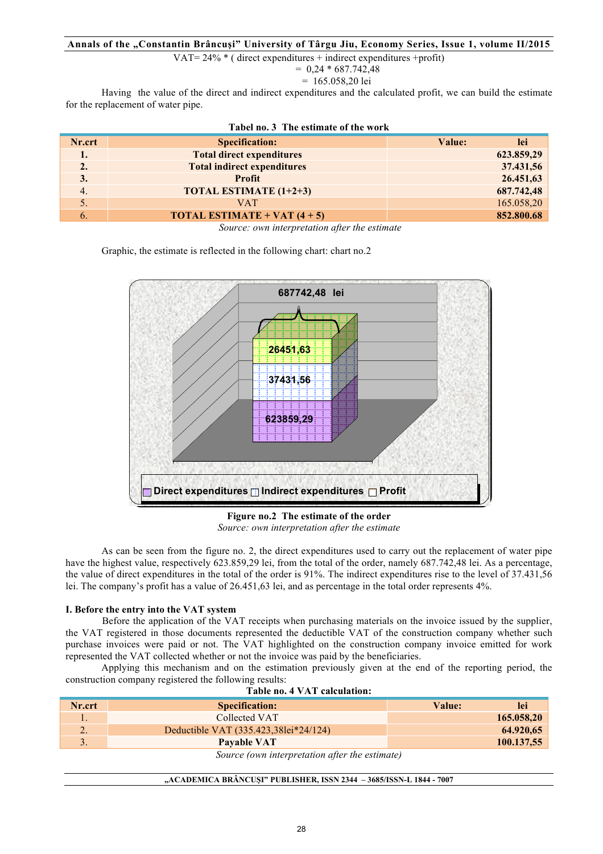VAT=  $24\%$  \* ( direct expenditures + indirect expenditures +profit)

 $= 0.24 * 687.742.48$ 

$$
= 165.058,20 \text{ lei}
$$

Having the value of the direct and indirect expenditures and the calculated profit, we can build the estimate for the replacement of water pipe.

| TADU NO. 9 THU USUMARU VI UIU WOLIV |                                                  |               |  |  |
|-------------------------------------|--------------------------------------------------|---------------|--|--|
| Nr.crt                              | <b>Specification:</b>                            | lei<br>Value: |  |  |
| 1.                                  | <b>Total direct expenditures</b>                 | 623.859,29    |  |  |
| 2.                                  | <b>Total indirect expenditures</b>               | 37.431,56     |  |  |
| 3.                                  | <b>Profit</b>                                    | 26.451,63     |  |  |
| 4.                                  | <b>TOTAL ESTIMATE (1+2+3)</b>                    | 687.742,48    |  |  |
|                                     | <b>VAT</b>                                       | 165.058,20    |  |  |
| 6.                                  | <b>TOTAL ESTIMATE + VAT <math>(4 + 5)</math></b> | 852.800.68    |  |  |
|                                     |                                                  |               |  |  |

| Tabel no. 3 The estimate of the work |  |  |  |
|--------------------------------------|--|--|--|
|                                      |  |  |  |

*Source: own interpretation after the estimate* 

Graphic, the estimate is reflected in the following chart: chart no.2



**Figure no.2 The estimate of the order** *Source: own interpretation after the estimate* 

As can be seen from the figure no. 2, the direct expenditures used to carry out the replacement of water pipe have the highest value, respectively 623.859,29 lei, from the total of the order, namely 687.742,48 lei. As a percentage, the value of direct expenditures in the total of the order is 91%. The indirect expenditures rise to the level of 37.431,56 lei. The company's profit has a value of 26.451,63 lei, and as percentage in the total order represents 4%.

### **I. Before the entry into the VAT system**

Before the application of the VAT receipts when purchasing materials on the invoice issued by the supplier, the VAT registered in those documents represented the deductible VAT of the construction company whether such purchase invoices were paid or not. The VAT highlighted on the construction company invoice emitted for work represented the VAT collected whether or not the invoice was paid by the beneficiaries.

Applying this mechanism and on the estimation previously given at the end of the reporting period, the construction company registered the following results:

| Table no. 4 VAT calculation.                   |                                       |        |            |  |
|------------------------------------------------|---------------------------------------|--------|------------|--|
| Nr.crt                                         | <b>Specification:</b>                 | Value: | <b>lei</b> |  |
|                                                | Collected VAT                         |        | 165.058,20 |  |
|                                                | Deductible VAT (335.423,381ei*24/124) |        | 64.920,65  |  |
|                                                | <b>Pavable VAT</b>                    |        | 100.137,55 |  |
| Source (own interpretation after the estimate) |                                       |        |            |  |

#### **Table no. 4 VAT calculation:**

**"ACADEMICA BRÂNCUŞI" PUBLISHER, ISSN 2344 – 3685/ISSN-L 1844 - 7007**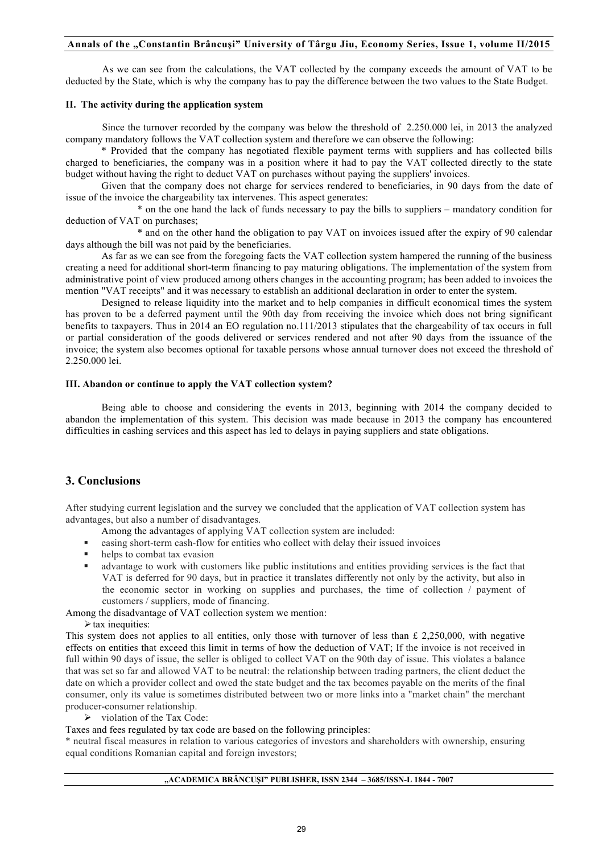As we can see from the calculations, the VAT collected by the company exceeds the amount of VAT to be deducted by the State, which is why the company has to pay the difference between the two values to the State Budget.

### **II. The activity during the application system**

Since the turnover recorded by the company was below the threshold of 2.250.000 lei, in 2013 the analyzed company mandatory follows the VAT collection system and therefore we can observe the following:

\* Provided that the company has negotiated flexible payment terms with suppliers and has collected bills charged to beneficiaries, the company was in a position where it had to pay the VAT collected directly to the state budget without having the right to deduct VAT on purchases without paying the suppliers' invoices.

Given that the company does not charge for services rendered to beneficiaries, in 90 days from the date of issue of the invoice the chargeability tax intervenes. This aspect generates:

\* on the one hand the lack of funds necessary to pay the bills to suppliers – mandatory condition for deduction of VAT on purchases;

\* and on the other hand the obligation to pay VAT on invoices issued after the expiry of 90 calendar days although the bill was not paid by the beneficiaries.

As far as we can see from the foregoing facts the VAT collection system hampered the running of the business creating a need for additional short-term financing to pay maturing obligations. The implementation of the system from administrative point of view produced among others changes in the accounting program; has been added to invoices the mention "VAT receipts" and it was necessary to establish an additional declaration in order to enter the system.

Designed to release liquidity into the market and to help companies in difficult economical times the system has proven to be a deferred payment until the 90th day from receiving the invoice which does not bring significant benefits to taxpayers. Thus in 2014 an EO regulation no.111/2013 stipulates that the chargeability of tax occurs in full or partial consideration of the goods delivered or services rendered and not after 90 days from the issuance of the invoice; the system also becomes optional for taxable persons whose annual turnover does not exceed the threshold of 2.250.000 lei.

### **III. Abandon or continue to apply the VAT collection system?**

Being able to choose and considering the events in 2013, beginning with 2014 the company decided to abandon the implementation of this system. This decision was made because in 2013 the company has encountered difficulties in cashing services and this aspect has led to delays in paying suppliers and state obligations.

# **3. Conclusions**

After studying current legislation and the survey we concluded that the application of VAT collection system has advantages, but also a number of disadvantages.

- Among the advantages of applying VAT collection system are included:
- easing short-term cash-flow for entities who collect with delay their issued invoices
- helps to combat tax evasion
- ! advantage to work with customers like public institutions and entities providing services is the fact that VAT is deferred for 90 days, but in practice it translates differently not only by the activity, but also in the economic sector in working on supplies and purchases, the time of collection / payment of customers / suppliers, mode of financing.

Among the disadvantage of VAT collection system we mention:

 $\triangleright$  tax inequities:

This system does not applies to all entities, only those with turnover of less than £ 2,250,000, with negative effects on entities that exceed this limit in terms of how the deduction of VAT; If the invoice is not received in full within 90 days of issue, the seller is obliged to collect VAT on the 90th day of issue. This violates a balance that was set so far and allowed VAT to be neutral: the relationship between trading partners, the client deduct the date on which a provider collect and owed the state budget and the tax becomes payable on the merits of the final consumer, only its value is sometimes distributed between two or more links into a "market chain" the merchant producer-consumer relationship.

 $\triangleright$  violation of the Tax Code:

Taxes and fees regulated by tax code are based on the following principles:

\* neutral fiscal measures in relation to various categories of investors and shareholders with ownership, ensuring equal conditions Romanian capital and foreign investors;

#### **"ACADEMICA BRÂNCUŞI" PUBLISHER, ISSN 2344 – 3685/ISSN-L 1844 - 7007**